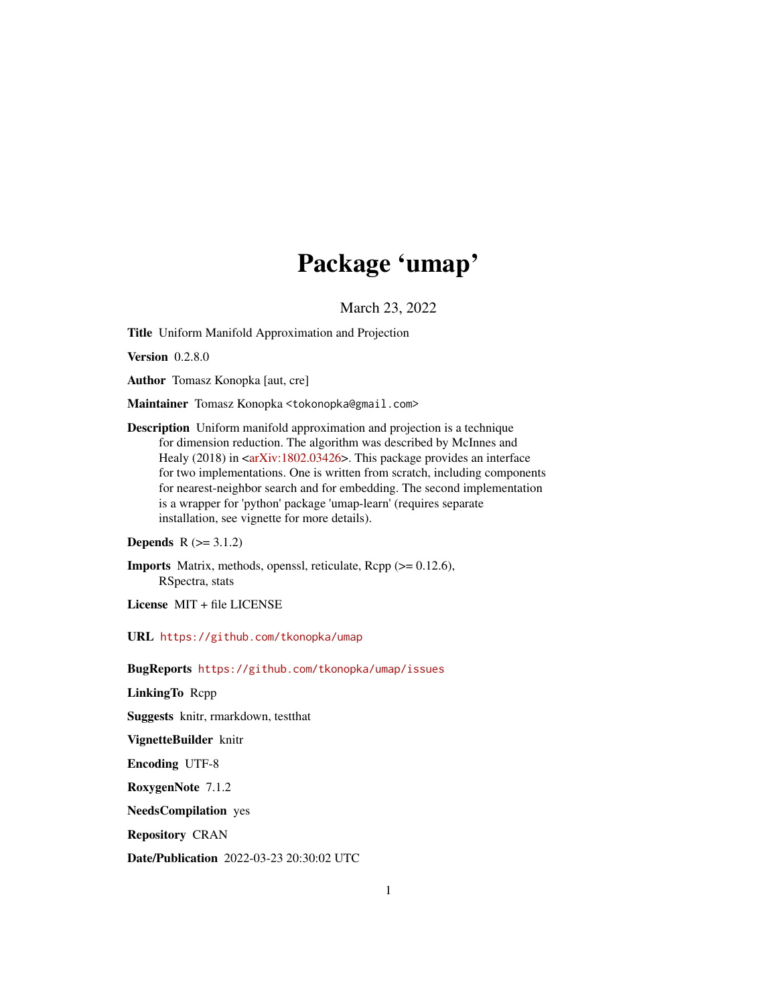## Package 'umap'

March 23, 2022

Title Uniform Manifold Approximation and Projection

Version 0.2.8.0

Author Tomasz Konopka [aut, cre]

Maintainer Tomasz Konopka <tokonopka@gmail.com>

Description Uniform manifold approximation and projection is a technique for dimension reduction. The algorithm was described by McInnes and Healy (2018) in  $\langle \ar{x} \rangle$  = 1802.03426>. This package provides an interface for two implementations. One is written from scratch, including components for nearest-neighbor search and for embedding. The second implementation is a wrapper for 'python' package 'umap-learn' (requires separate installation, see vignette for more details).

```
Depends R (>= 3.1.2)
```
Imports Matrix, methods, openssl, reticulate, Rcpp (>= 0.12.6), RSpectra, stats

License MIT + file LICENSE

URL <https://github.com/tkonopka/umap>

BugReports <https://github.com/tkonopka/umap/issues>

LinkingTo Rcpp

Suggests knitr, rmarkdown, testthat

VignetteBuilder knitr

Encoding UTF-8

RoxygenNote 7.1.2

NeedsCompilation yes

Repository CRAN

Date/Publication 2022-03-23 20:30:02 UTC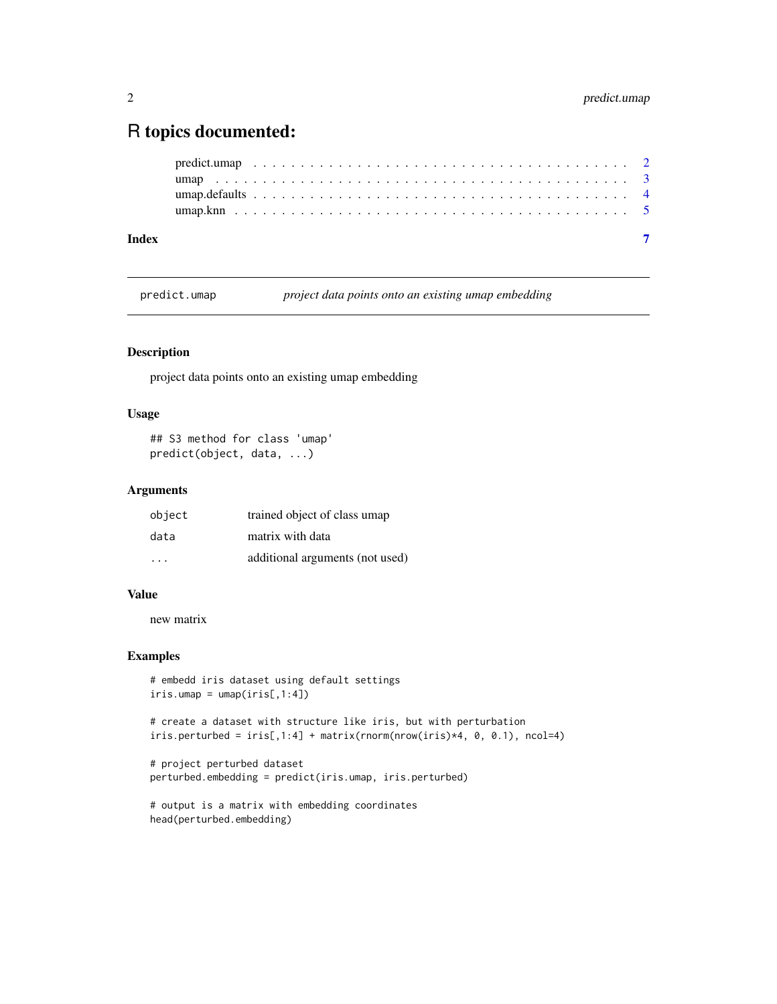## <span id="page-1-0"></span>R topics documented:

| Index |  |  |  |  |  |  |  |  |  |  |  |  |  |  |  |  |  |  |  |  |  |
|-------|--|--|--|--|--|--|--|--|--|--|--|--|--|--|--|--|--|--|--|--|--|
|       |  |  |  |  |  |  |  |  |  |  |  |  |  |  |  |  |  |  |  |  |  |
|       |  |  |  |  |  |  |  |  |  |  |  |  |  |  |  |  |  |  |  |  |  |
|       |  |  |  |  |  |  |  |  |  |  |  |  |  |  |  |  |  |  |  |  |  |
|       |  |  |  |  |  |  |  |  |  |  |  |  |  |  |  |  |  |  |  |  |  |

predict.umap *project data points onto an existing umap embedding*

## Description

project data points onto an existing umap embedding

## Usage

## S3 method for class 'umap' predict(object, data, ...)

## Arguments

| object                  | trained object of class umap    |
|-------------------------|---------------------------------|
| data                    | matrix with data                |
| $\cdot$ $\cdot$ $\cdot$ | additional arguments (not used) |

#### Value

new matrix

#### Examples

```
# embedd iris dataset using default settings
iris.umap = umap(iris[, 1:4])
```
# create a dataset with structure like iris, but with perturbation  $iris.perturbed = iris[, 1:4] + matrix(rnorm(nrow(iris)*4, 0, 0.1), ncol=4)$ 

```
# project perturbed dataset
perturbed.embedding = predict(iris.umap, iris.perturbed)
```

```
# output is a matrix with embedding coordinates
head(perturbed.embedding)
```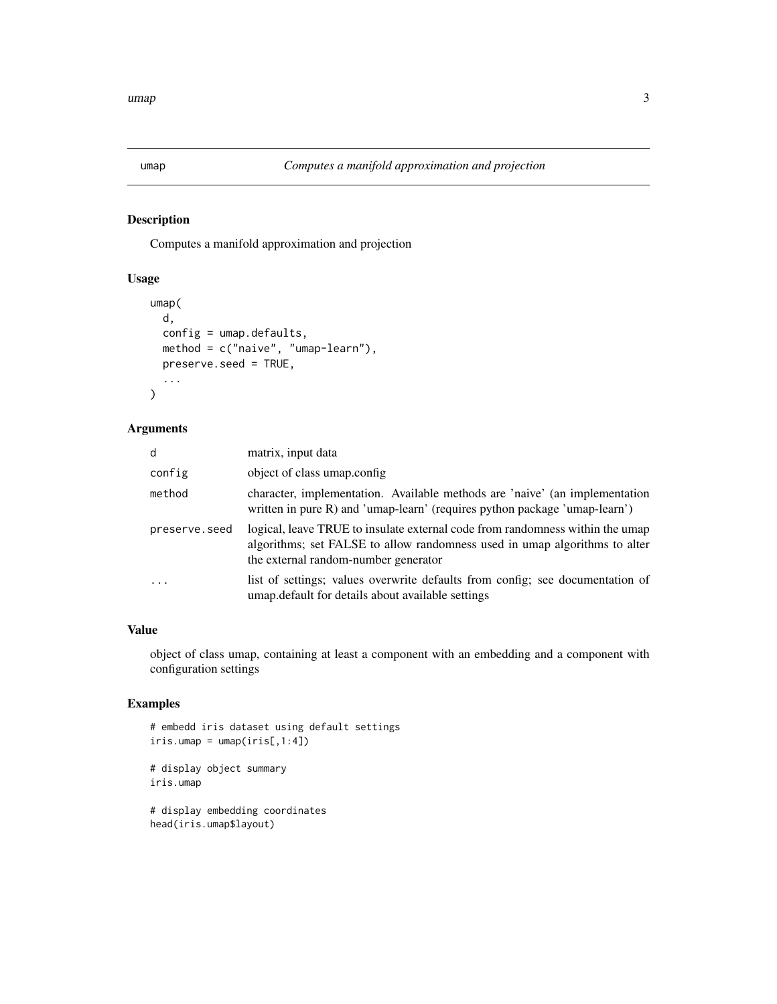<span id="page-2-0"></span>

## Description

Computes a manifold approximation and projection

## Usage

```
umap(
  d,
  config = umap.defaults,
  method = c("naive", "umap-learn"),
  preserve.seed = TRUE,
  ...
\mathcal{L}
```
## Arguments

| d             | matrix, input data                                                                                                                                                                                  |
|---------------|-----------------------------------------------------------------------------------------------------------------------------------------------------------------------------------------------------|
| config        | object of class umap.config.                                                                                                                                                                        |
| method        | character, implementation. Available methods are 'naive' (an implementation<br>written in pure R) and 'umap-learn' (requires python package 'umap-learn')                                           |
| preserve.seed | logical, leave TRUE to insulate external code from randomness within the umap<br>algorithms; set FALSE to allow randomness used in umap algorithms to alter<br>the external random-number generator |
| $\ddots$ .    | list of settings; values overwrite defaults from config; see documentation of<br>umap. default for details about available settings                                                                 |

#### Value

object of class umap, containing at least a component with an embedding and a component with configuration settings

## Examples

```
# embedd iris dataset using default settings
iris.umap = umap(iris[, 1:4])# display object summary
iris.umap
# display embedding coordinates
head(iris.umap$layout)
```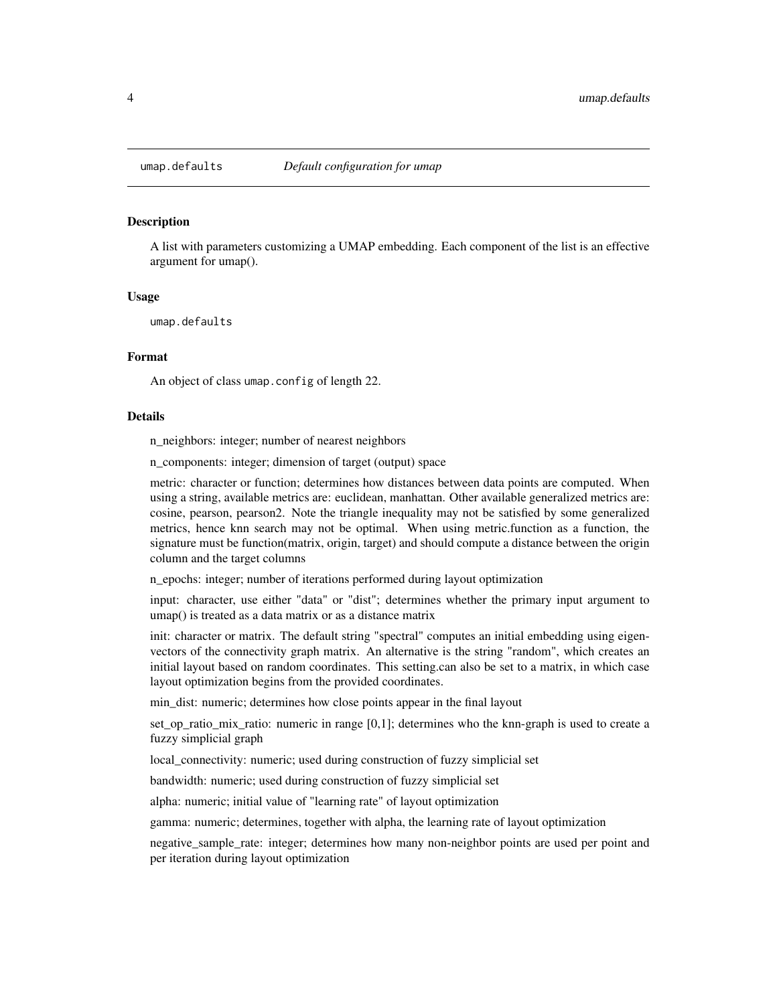<span id="page-3-0"></span>

#### Description

A list with parameters customizing a UMAP embedding. Each component of the list is an effective argument for umap().

#### Usage

umap.defaults

#### Format

An object of class umap.config of length 22.

#### Details

n neighbors: integer; number of nearest neighbors

n components: integer; dimension of target (output) space

metric: character or function; determines how distances between data points are computed. When using a string, available metrics are: euclidean, manhattan. Other available generalized metrics are: cosine, pearson, pearson2. Note the triangle inequality may not be satisfied by some generalized metrics, hence knn search may not be optimal. When using metric.function as a function, the signature must be function(matrix, origin, target) and should compute a distance between the origin column and the target columns

n\_epochs: integer; number of iterations performed during layout optimization

input: character, use either "data" or "dist"; determines whether the primary input argument to umap() is treated as a data matrix or as a distance matrix

init: character or matrix. The default string "spectral" computes an initial embedding using eigenvectors of the connectivity graph matrix. An alternative is the string "random", which creates an initial layout based on random coordinates. This setting.can also be set to a matrix, in which case layout optimization begins from the provided coordinates.

min\_dist: numeric; determines how close points appear in the final layout

set\_op\_ratio\_mix\_ratio: numeric in range [0,1]; determines who the knn-graph is used to create a fuzzy simplicial graph

local\_connectivity: numeric; used during construction of fuzzy simplicial set

bandwidth: numeric; used during construction of fuzzy simplicial set

alpha: numeric; initial value of "learning rate" of layout optimization

gamma: numeric; determines, together with alpha, the learning rate of layout optimization

negative\_sample\_rate: integer; determines how many non-neighbor points are used per point and per iteration during layout optimization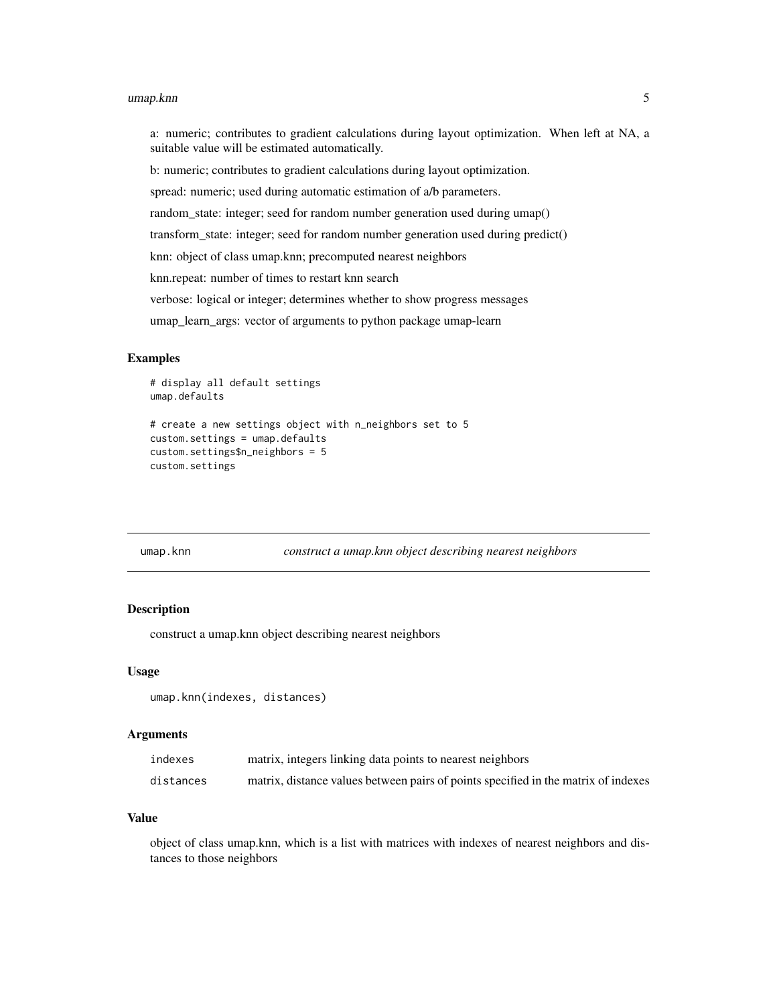#### <span id="page-4-0"></span>umap.knn 5

a: numeric; contributes to gradient calculations during layout optimization. When left at NA, a suitable value will be estimated automatically.

b: numeric; contributes to gradient calculations during layout optimization.

spread: numeric; used during automatic estimation of a/b parameters.

random\_state: integer; seed for random number generation used during umap()

transform\_state: integer; seed for random number generation used during predict()

knn: object of class umap.knn; precomputed nearest neighbors

knn.repeat: number of times to restart knn search

verbose: logical or integer; determines whether to show progress messages

umap\_learn\_args: vector of arguments to python package umap-learn

#### Examples

```
# display all default settings
umap.defaults
```

```
# create a new settings object with n_neighbors set to 5
custom.settings = umap.defaults
custom.settings$n_neighbors = 5
custom.settings
```

| umap.knn |  |  |
|----------|--|--|
|          |  |  |

construct a umap.knn object describing nearest neighbors

#### **Description**

construct a umap.knn object describing nearest neighbors

#### Usage

```
umap.knn(indexes, distances)
```
#### Arguments

| indexes   | matrix, integers linking data points to nearest neighbors                          |
|-----------|------------------------------------------------------------------------------------|
| distances | matrix, distance values between pairs of points specified in the matrix of indexes |

#### Value

object of class umap.knn, which is a list with matrices with indexes of nearest neighbors and distances to those neighbors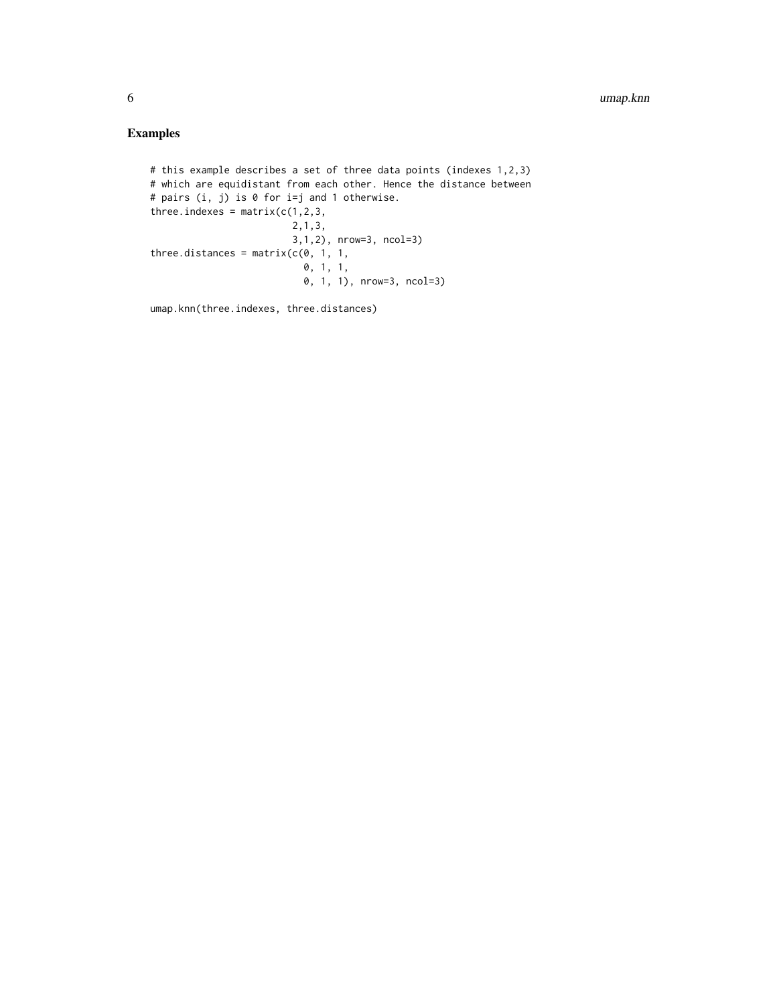## Examples

```
# this example describes a set of three data points (indexes 1,2,3)
# which are equidistant from each other. Hence the distance between
# pairs (i, j) is 0 for i=j and 1 otherwise.
three.indexes = matrix(c(1, 2, 3,2,1,3,
                        3,1,2), nrow=3, ncol=3)
three.distances = matrix(c(0, 1, 1,0, 1, 1,
                           0, 1, 1), nrow=3, ncol=3)
```
umap.knn(three.indexes, three.distances)